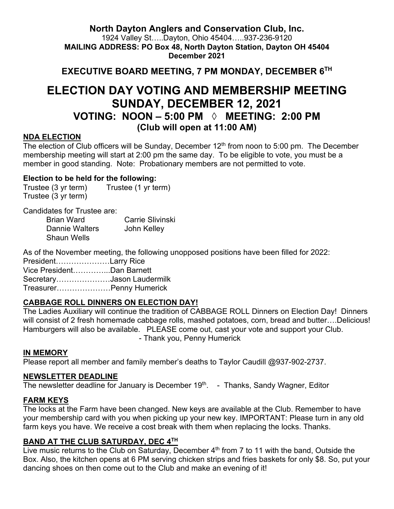# **North Dayton Anglers and Conservation Club, Inc.**

1924 Valley St…..Dayton, Ohio 45404…..937-236-9120 **MAILING ADDRESS: PO Box 48, North Dayton Station, Dayton OH 45404 December 2021**

**EXECUTIVE BOARD MEETING, 7 PM MONDAY, DECEMBER 6TH**

# **ELECTION DAY VOTING AND MEMBERSHIP MEETING SUNDAY, DECEMBER 12, 2021 VOTING: NOON – 5:00 PM ◊ MEETING: 2:00 PM (Club will open at 11:00 AM)**

# **NDA ELECTION**

The election of Club officers will be Sunday, December 12<sup>th</sup> from noon to 5:00 pm. The December membership meeting will start at 2:00 pm the same day. To be eligible to vote, you must be a member in good standing. Note: Probationary members are not permitted to vote.

# **Election to be held for the following:**

Trustee (3 yr term) Trustee (1 yr term) Trustee (3 yr term)

Candidates for Trustee are:

| <b>Brian Ward</b>  | <b>Carrie Slivinski</b> |
|--------------------|-------------------------|
| Dannie Walters     | John Kelley             |
| <b>Shaun Wells</b> |                         |

As of the November meeting, the following unopposed positions have been filled for 2022:

President…………………Larry Rice

Vice President…………...Dan Barnett

Secretary…………………Jason Laudermilk

Treasurer…………………Penny Humerick

# **CABBAGE ROLL DINNERS ON ELECTION DAY!**

The Ladies Auxiliary will continue the tradition of CABBAGE ROLL Dinners on Election Day! Dinners will consist of 2 fresh homemade cabbage rolls, mashed potatoes, corn, bread and butter....Delicious! Hamburgers will also be available. PLEASE come out, cast your vote and support your Club. - Thank you, Penny Humerick

# **IN MEMORY**

Please report all member and family member's deaths to Taylor Caudill @937-902-2737.

# **NEWSLETTER DEADLINE**

The newsletter deadline for January is December  $19<sup>th</sup>$ . - Thanks, Sandy Wagner, Editor

# **FARM KEYS**

The locks at the Farm have been changed. New keys are available at the Club. Remember to have your membership card with you when picking up your new key. IMPORTANT: Please turn in any old farm keys you have. We receive a cost break with them when replacing the locks. Thanks.

# **BAND AT THE CLUB SATURDAY, DEC 4TH**

Live music returns to the Club on Saturday, December  $4<sup>th</sup>$  from 7 to 11 with the band, Outside the Box. Also, the kitchen opens at 6 PM serving chicken strips and fries baskets for only \$8. So, put your dancing shoes on then come out to the Club and make an evening of it!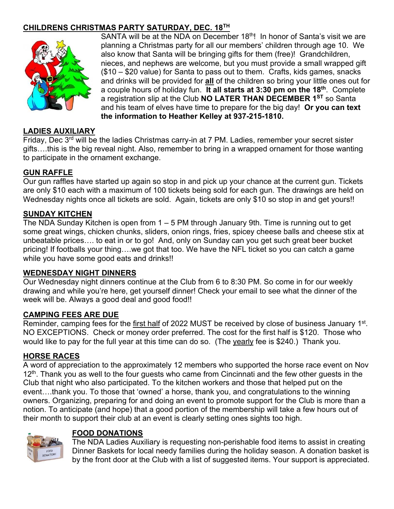# **CHILDRENS CHRISTMAS PARTY SATURDAY, DEC. 18TH**



SANTA will be at the NDA on December 18<sup>th</sup>! In honor of Santa's visit we are planning a Christmas party for all our members' children through age 10. We also know that Santa will be bringing gifts for them (free)! Grandchildren, nieces, and nephews are welcome, but you must provide a small wrapped gift (\$10 – \$20 value) for Santa to pass out to them. Crafts, kids games, snacks and drinks will be provided for **all** of the children so bring your little ones out for a couple hours of holiday fun. **It all starts at 3:30 pm on the 18th**. Complete a registration slip at the Club **NO LATER THAN DECEMBER 1ST** so Santa and his team of elves have time to prepare for the big day! **Or you can text the information to Heather Kelley at 937-215-1810.**

# **LADIES AUXILIARY**

Friday, Dec 3rd will be the ladies Christmas carry-in at 7 PM. Ladies, remember your secret sister gifts….this is the big reveal night. Also, remember to bring in a wrapped ornament for those wanting to participate in the ornament exchange.

# **GUN RAFFLE**

Our gun raffles have started up again so stop in and pick up your chance at the current gun. Tickets are only \$10 each with a maximum of 100 tickets being sold for each gun. The drawings are held on Wednesday nights once all tickets are sold. Again, tickets are only \$10 so stop in and get yours!!

# **SUNDAY KITCHEN**

The NDA Sunday Kitchen is open from  $1 - 5$  PM through January 9th. Time is running out to get some great wings, chicken chunks, sliders, onion rings, fries, spicey cheese balls and cheese stix at unbeatable prices…. to eat in or to go! And, only on Sunday can you get such great beer bucket pricing! If footballs your thing….we got that too. We have the NFL ticket so you can catch a game while you have some good eats and drinks!!

# **WEDNESDAY NIGHT DINNERS**

Our Wednesday night dinners continue at the Club from 6 to 8:30 PM. So come in for our weekly drawing and while you're here, get yourself dinner! Check your email to see what the dinner of the week will be. Always a good deal and good food!!

# **CAMPING FEES ARE DUE**

Reminder, camping fees for the first half of 2022 MUST be received by close of business January 1<sup>st</sup>. NO EXCEPTIONS. Check or money order preferred. The cost for the first half is \$120. Those who would like to pay for the full year at this time can do so. (The yearly fee is \$240.) Thank you.

# **HORSE RACES**

A word of appreciation to the approximately 12 members who supported the horse race event on Nov  $12<sup>th</sup>$ . Thank you as well to the four guests who came from Cincinnati and the few other guests in the Club that night who also participated. To the kitchen workers and those that helped put on the event….thank you. To those that 'owned' a horse, thank you, and congratulations to the winning owners. Organizing, preparing for and doing an event to promote support for the Club is more than a notion. To anticipate (and hope) that a good portion of the membership will take a few hours out of their month to support their club at an event is clearly setting ones sights too high.



# **FOOD DONATIONS**

The NDA Ladies Auxiliary is requesting non-perishable food items to assist in creating Dinner Baskets for local needy families during the holiday season. A donation basket is by the front door at the Club with a list of suggested items. Your support is appreciated.